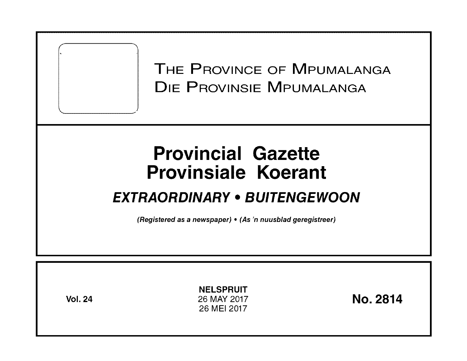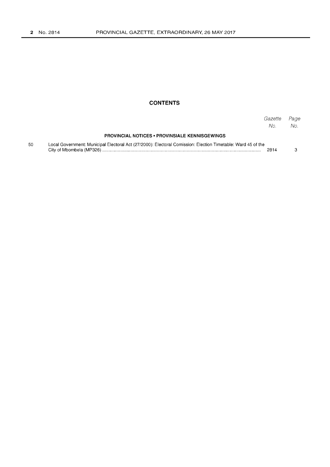## **CONTENTS**

|    |                                                                                                              | Gazette<br>No. | Page<br>No. |
|----|--------------------------------------------------------------------------------------------------------------|----------------|-------------|
|    | <b>PROVINCIAL NOTICES • PROVINSIALE KENNISGEWINGS</b>                                                        |                |             |
| 50 | Local Government: Municipal Electoral Act (27/2000): Electoral Comission: Election Timetable: Ward 45 of the | 2814           |             |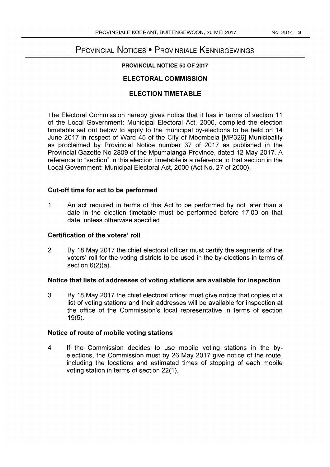# PROVINCIAL NOTICES • PROVINSIALE KENNISGEWINGS

## PROVINCIAL NOTICE 50 OF 2017

# ELECTORAL COMMISSION

## ELECTION TIMETABLE

The Electoral Commission hereby gives notice that it has in terms of section 11 of the Local Government: Municipal Electoral Act, 2000, compiled the election timetable set out below to apply to the municipal by-elections to be held on 14 June 2017 in respect of Ward 45 of the City of Mbombela [MP326] Municipality as proclaimed by Provincial Notice number 37 of 2017 as published in the Provincial Gazette No 2809 of the Mpumalanga Province, dated 12 May 2017. A reference to "section" in this election timetable is a reference to that section in the Local Government: Municipal Electoral Act, 2000 (Act No. 27 of 2000).

## Cut-off time for act to be performed

1 An act required in terms of this Act to be performed by not later than a date in the election timetable must be performed before 17:00 on that date, unless otherwise specified.

### Certification of the voters' roll

2 By 18 May 2017 the chief electoral officer must certify the segments of the voters' roll for the voting districts to be used in the by-elections in terms of section 6(2)(a).

#### Notice that lists of addresses of voting stations are available for inspection

3 By 18 May 2017 the chief electoral officer must give notice that copies of a list of voting stations and their addresses will be available for inspection at the office of the Commission's local representative in terms of section 19(5).

#### Notice of route of mobile voting stations

4 If the Commission decides to use mobile voting stations in the byelections, the Commission must by 26 May 2017 give notice of the route, including the locations and estimated times of stopping of each mobile voting station in terms of section 22(1).